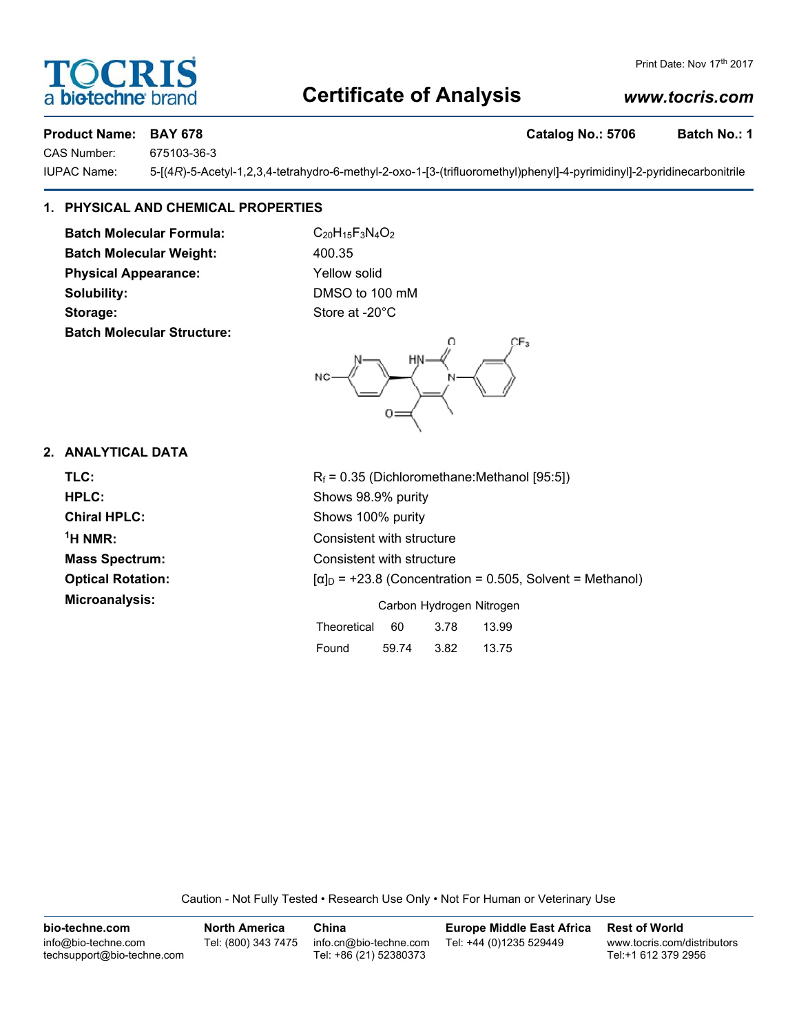## **Certificate of Analysis**

### *www.tocris.com*

**Product Name: BAY 678 Catalog No.: 5706 Batch No.: 1** 

CAS Number: 675103-36-3

IUPAC Name: 5-[(4*R*)-5-Acetyl-1,2,3,4-tetrahydro-6-methyl-2-oxo-1-[3-(trifluoromethyl)phenyl]-4-pyrimidinyl]-2-pyridinecarbonitrile

#### **1. PHYSICAL AND CHEMICAL PROPERTIES**

**Batch Molecular Formula:** C<sub>20</sub>H<sub>15</sub>F<sub>3</sub>N<sub>4</sub>O<sub>2</sub> Batch Molecular Weight: 400.35 **Physical Appearance:** Yellow solid **Solubility:** DMSO to 100 mM Storage: Store at -20°C **Batch Molecular Structure:**



#### **2. ANALYTICAL DATA**

| TLC:                     | $R_f$ = 0.35 (Dichloromethane: Methanol [95:5])                  |
|--------------------------|------------------------------------------------------------------|
| HPLC:                    | Shows 98.9% purity                                               |
| <b>Chiral HPLC:</b>      | Shows 100% purity                                                |
| $1H NMR$ :               | Consistent with structure                                        |
| <b>Mass Spectrum:</b>    | Consistent with structure                                        |
| <b>Optical Rotation:</b> | $[\alpha]_D$ = +23.8 (Concentration = 0.505, Solvent = Methanol) |
| Microanalysis:           | Carbon Hydrogen Nitrogen                                         |
|                          | Theoretical<br>60<br>3.78<br>13.99                               |

Found 59.74 3.82 13.75

Caution - Not Fully Tested • Research Use Only • Not For Human or Veterinary Use

**bio-techne.com** info@bio-techne.com techsupport@bio-techne.com **North America** Tel: (800) 343 7475 **China** info.cn@bio-techne.com Tel: +86 (21) 52380373 **Europe Middle East Africa** Tel: +44 (0)1235 529449 **Rest of World** www.tocris.com/distributors Tel:+1 612 379 2956



Print Date: Nov 17th 2017